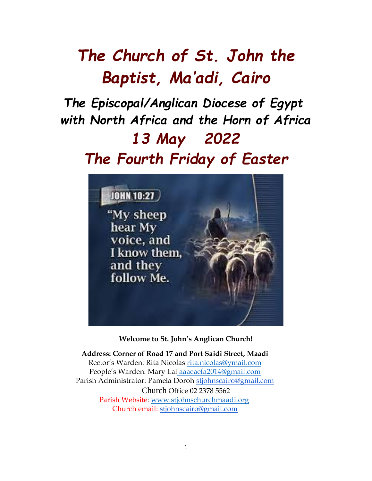# *The Church of St. John the Baptist, Ma'adi, Cairo*

# *The Episcopal/Anglican Diocese of Egypt with North Africa and the Horn of Africa 13 May 2022 The Fourth Friday of Easter*



**Welcome to St. John's Anglican Church!**

**Address: Corner of Road 17 and Port Saidi Street, Maadi** Rector's Warden: Rita Nicolas [rita.nicolas@ymail.com](mailto:rita.nicolas@ymail.com) People's Warden: Mary Lai aaaeaefa2014@gmail.com Parish Administrator: Pamela Doroh [stjohnscairo@gmail.com](mailto:stjohnscairo@gmail.com) Church Office 02 2378 5562 Parish Website: [www.stjohnschurchmaadi.org](http://www.stjohnschurchmaadi.org/) Church email: [stjohnscairo@gmail.com](mailto:stjohnscairo@gmail.com)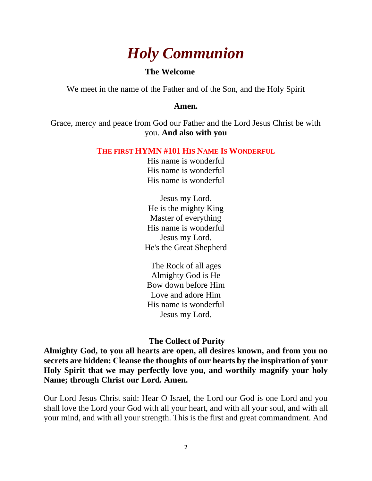# *Holy Communion*

# **The Welcome**

We meet in the name of the Father and of the Son, and the Holy Spirit

#### **Amen.**

Grace, mercy and peace from God our Father and the Lord Jesus Christ be with you. **And also with you**

#### **THE FIRST HYMN #101 HIS NAME IS WONDERFUL**

His name is wonderful His name is wonderful His name is wonderful

Jesus my Lord. He is the mighty King Master of everything His name is wonderful Jesus my Lord. He's the Great Shepherd

The Rock of all ages Almighty God is He Bow down before Him Love and adore Him His name is wonderful Jesus my Lord.

## **The Collect of Purity**

**Almighty God, to you all hearts are open, all desires known, and from you no secrets are hidden: Cleanse the thoughts of our hearts by the inspiration of your Holy Spirit that we may perfectly love you, and worthily magnify your holy Name; through Christ our Lord. Amen.**

Our Lord Jesus Christ said: Hear O Israel, the Lord our God is one Lord and you shall love the Lord your God with all your heart, and with all your soul, and with all your mind, and with all your strength. This is the first and great commandment. And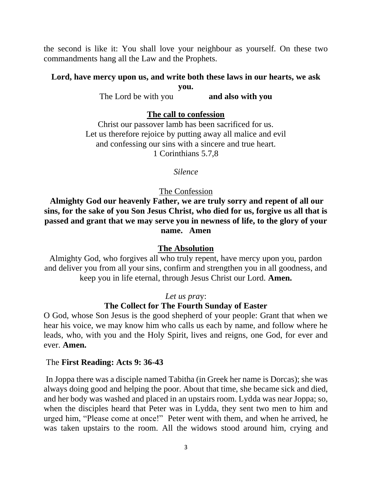the second is like it: You shall love your neighbour as yourself. On these two commandments hang all the Law and the Prophets.

### **Lord, have mercy upon us, and write both these laws in our hearts, we ask you.**

The Lord be with you **and also with you**

### **The call to confession**

Christ our passover lamb has been sacrificed for us. Let us therefore rejoice by putting away all malice and evil and confessing our sins with a sincere and true heart. 1 Corinthians 5.7,8

#### *Silence*

#### The Confession

**Almighty God our heavenly Father, we are truly sorry and repent of all our sins, for the sake of you Son Jesus Christ, who died for us, forgive us all that is passed and grant that we may serve you in newness of life, to the glory of your name. Amen**

#### **The Absolution**

Almighty God, who forgives all who truly repent, have mercy upon you, pardon and deliver you from all your sins, confirm and strengthen you in all goodness, and keep you in life eternal, through Jesus Christ our Lord. **Amen.**

#### *Let us pra*y:

#### **The Collect for The Fourth Sunday of Easter**

O God, whose Son Jesus is the good shepherd of your people: Grant that when we hear his voice, we may know him who calls us each by name, and follow where he leads, who, with you and the Holy Spirit, lives and reigns, one God, for ever and ever. **Amen.**

#### The **First Reading: Acts 9: 36-43**

In Joppa there was a disciple named Tabitha (in Greek her name is Dorcas); she was always doing good and helping the poor. About that time, she became sick and died, and her body was washed and placed in an upstairs room. Lydda was near Joppa; so, when the disciples heard that Peter was in Lydda, they sent two men to him and urged him, "Please come at once!" Peter went with them, and when he arrived, he was taken upstairs to the room. All the widows stood around him, crying and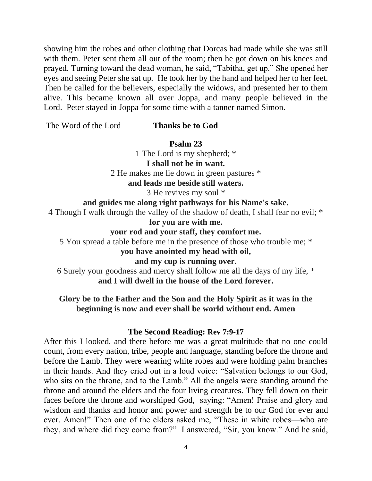showing him the robes and other clothing that Dorcas had made while she was still with them. Peter sent them all out of the room; then he got down on his knees and prayed. Turning toward the dead woman, he said, "Tabitha, get up." She opened her eyes and seeing Peter she sat up. He took her by the hand and helped her to her feet. Then he called for the believers, especially the widows, and presented her to them alive. This became known all over Joppa, and many people believed in the Lord. Peter stayed in Joppa for some time with a tanner named Simon.

The Word of the Lord **Thanks be to God**

**Psalm 23**

1 The Lord is my shepherd; \* **I shall not be in want.** 2 He makes me lie down in green pastures \* **and leads me beside still waters.**

3 He revives my soul \*

#### **and guides me along right pathways for his Name's sake.**

4 Though I walk through the valley of the shadow of death, I shall fear no evil; \*

#### **for you are with me.**

#### **your rod and your staff, they comfort me.**

5 You spread a table before me in the presence of those who trouble me; \*

#### **you have anointed my head with oil,**

**and my cup is running over.**

6 Surely your goodness and mercy shall follow me all the days of my life, \* **and I will dwell in the house of the Lord forever.**

**Glory be to the Father and the Son and the Holy Spirit as it was in the beginning is now and ever shall be world without end. Amen**

#### **The Second Reading: Rev 7:9-17**

After this I looked, and there before me was a great multitude that no one could count, from every nation, tribe, people and language, standing before the throne and before the Lamb. They were wearing white robes and were holding palm branches in their hands. And they cried out in a loud voice: "Salvation belongs to our God, who sits on the throne, and to the Lamb." All the angels were standing around the throne and around the elders and the four living creatures. They fell down on their faces before the throne and worshiped God, saying: "Amen! Praise and glory and wisdom and thanks and honor and power and strength be to our God for ever and ever. Amen!" Then one of the elders asked me, "These in white robes—who are they, and where did they come from?" I answered, "Sir, you know." And he said,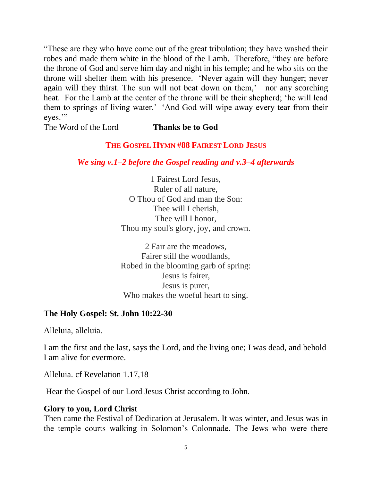"These are they who have come out of the great tribulation; they have washed their robes and made them white in the blood of the Lamb. Therefore, "they are before the throne of God and serve him day and night in his temple; and he who sits on the throne will shelter them with his presence. 'Never again will they hunger; never again will they thirst. The sun will not beat down on them,' nor any scorching heat. For the Lamb at the center of the throne will be their shepherd; 'he will lead them to springs of living water.' 'And God will wipe away every tear from their eyes."

The Word of the Lord **Thanks be to God**

# **THE GOSPEL HYMN #88 FAIREST LORD JESUS**

# *We sing v.1–2 before the Gospel reading and v.3–4 afterwards*

1 Fairest Lord Jesus, Ruler of all nature, O Thou of God and man the Son: Thee will I cherish, Thee will I honor, Thou my soul's glory, joy, and crown.

2 Fair are the meadows, Fairer still the woodlands, Robed in the blooming garb of spring: Jesus is fairer, Jesus is purer, Who makes the woeful heart to sing.

# **The Holy Gospel: St. John 10:22-30**

Alleluia, alleluia.

I am the first and the last, says the Lord, and the living one; I was dead, and behold I am alive for evermore.

Alleluia. cf Revelation 1.17,18

Hear the Gospel of our Lord Jesus Christ according to John.

# **Glory to you, Lord Christ**

Then came the Festival of Dedication at Jerusalem. It was winter, and Jesus was in the temple courts walking in Solomon's Colonnade. The Jews who were there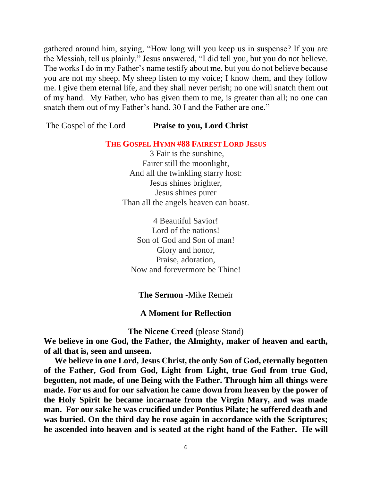gathered around him, saying, "How long will you keep us in suspense? If you are the Messiah, tell us plainly." Jesus answered, "I did tell you, but you do not believe. The works I do in my Father's name testify about me, but you do not believe because you are not my sheep. My sheep listen to my voice; I know them, and they follow me. I give them eternal life, and they shall never perish; no one will snatch them out of my hand. My Father, who has given them to me, is greater than all; no one can snatch them out of my Father's hand. 30 I and the Father are one."

The Gospel of the Lord **Praise to you, Lord Christ**

**THE GOSPEL HYMN #88 FAIREST LORD JESUS**

3 Fair is the sunshine, Fairer still the moonlight, And all the twinkling starry host: Jesus shines brighter, Jesus shines purer Than all the angels heaven can boast.

4 Beautiful Savior! Lord of the nations! Son of God and Son of man! Glory and honor, Praise, adoration, Now and forevermore be Thine!

### **The Sermon** -Mike Remeir

#### **A Moment for Reflection**

**The Nicene Creed** (please Stand)

**We believe in one God, the Father, the Almighty, maker of heaven and earth, of all that is, seen and unseen.**

 **We believe in one Lord, Jesus Christ, the only Son of God, eternally begotten of the Father, God from God, Light from Light, true God from true God, begotten, not made, of one Being with the Father. Through him all things were made. For us and for our salvation he came down from heaven by the power of the Holy Spirit he became incarnate from the Virgin Mary, and was made man. For our sake he was crucified under Pontius Pilate; he suffered death and was buried. On the third day he rose again in accordance with the Scriptures; he ascended into heaven and is seated at the right hand of the Father. He will**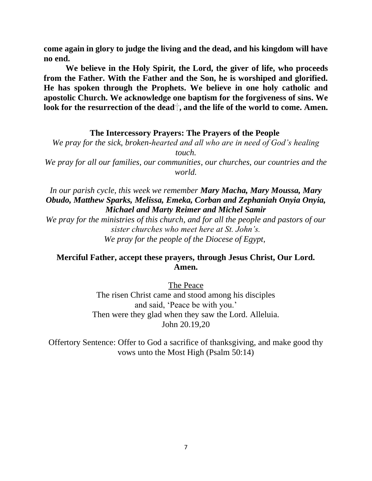**come again in glory to judge the living and the dead, and his kingdom will have no end.** 

**We believe in the Holy Spirit, the Lord, the giver of life, who proceeds from the Father. With the Father and the Son, he is worshiped and glorified. He has spoken through the Prophets. We believe in one holy catholic and apostolic Church. We acknowledge one baptism for the forgiveness of sins. We**  look for the resurrection of the dead<sup>†</sup>, and the life of the world to come. Amen.

### **The Intercessory Prayers: The Prayers of the People**

*We pray for the sick, broken-hearted and all who are in need of God's healing touch.*

*We pray for all our families, our communities, our churches, our countries and the world.*

*In our parish cycle, this week we remember Mary Macha, Mary Moussa, Mary Obudo, Matthew Sparks, Melissa, Emeka, Corban and Zephaniah Onyia Onyia, Michael and Marty Reimer and Michel Samir*

*We pray for the ministries of this church, and for all the people and pastors of our sister churches who meet here at St. John's. We pray for the people of the Diocese of Egypt,*

# **Merciful Father, accept these prayers, through Jesus Christ, Our Lord. Amen.**

The Peace

The risen Christ came and stood among his disciples and said, 'Peace be with you.' Then were they glad when they saw the Lord. Alleluia. John 20.19,20

Offertory Sentence: Offer to God a sacrifice of thanksgiving, and make good thy vows unto the Most High (Psalm 50:14)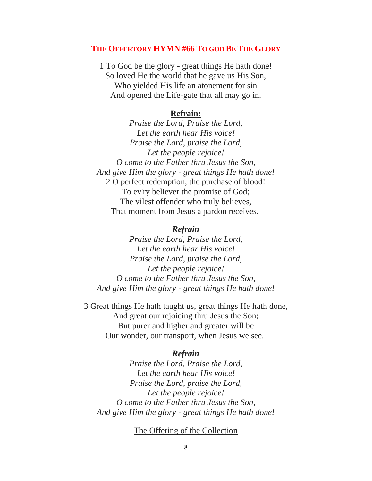#### **THE OFFERTORY HYMN #66 TO GOD BE THE GLORY**

1 To God be the glory - great things He hath done! So loved He the world that he gave us His Son, Who yielded His life an atonement for sin And opened the Life-gate that all may go in.

#### **Refrain:**

*Praise the Lord, Praise the Lord, Let the earth hear His voice! Praise the Lord, praise the Lord, Let the people rejoice! O come to the Father thru Jesus the Son, And give Him the glory - great things He hath done!* 2 O perfect redemption, the purchase of blood! To ev'ry believer the promise of God; The vilest offender who truly believes, That moment from Jesus a pardon receives.

#### *Refrain*

*Praise the Lord, Praise the Lord, Let the earth hear His voice! Praise the Lord, praise the Lord, Let the people rejoice! O come to the Father thru Jesus the Son, And give Him the glory - great things He hath done!*

3 Great things He hath taught us, great things He hath done, And great our rejoicing thru Jesus the Son; But purer and higher and greater will be Our wonder, our transport, when Jesus we see.

#### *Refrain*

*Praise the Lord, Praise the Lord, Let the earth hear His voice! Praise the Lord, praise the Lord, Let the people rejoice! O come to the Father thru Jesus the Son, And give Him the glory - great things He hath done!*

#### The Offering of the Collection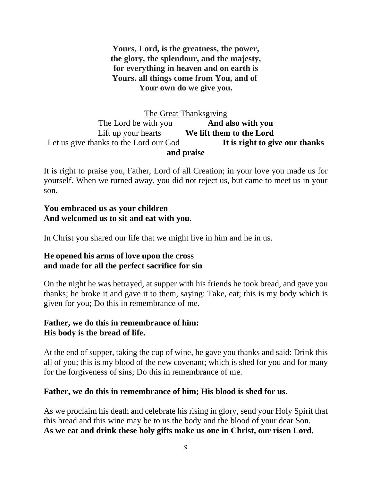**Yours, Lord, is the greatness, the power, the glory, the splendour, and the majesty, for everything in heaven and on earth is Yours. all things come from You, and of Your own do we give you.**

# The Great Thanksgiving The Lord be with you **And also with you** Lift up your hearts **We lift them to the Lord** Let us give thanks to the Lord our God **It is right to give our thanks and praise**

It is right to praise you, Father, Lord of all Creation; in your love you made us for yourself. When we turned away, you did not reject us, but came to meet us in your son.

# **You embraced us as your children And welcomed us to sit and eat with you.**

In Christ you shared our life that we might live in him and he in us.

# **He opened his arms of love upon the cross and made for all the perfect sacrifice for sin**

On the night he was betrayed, at supper with his friends he took bread, and gave you thanks; he broke it and gave it to them, saying: Take, eat; this is my body which is given for you; Do this in remembrance of me.

# **Father, we do this in remembrance of him: His body is the bread of life.**

At the end of supper, taking the cup of wine, he gave you thanks and said: Drink this all of you; this is my blood of the new covenant; which is shed for you and for many for the forgiveness of sins; Do this in remembrance of me.

# **Father, we do this in remembrance of him; His blood is shed for us.**

As we proclaim his death and celebrate his rising in glory, send your Holy Spirit that this bread and this wine may be to us the body and the blood of your dear Son. **As we eat and drink these holy gifts make us one in Christ, our risen Lord.**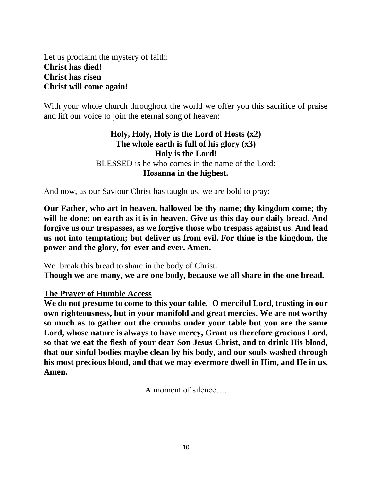Let us proclaim the mystery of faith: **Christ has died! Christ has risen Christ will come again!**

With your whole church throughout the world we offer you this sacrifice of praise and lift our voice to join the eternal song of heaven:

# **Holy, Holy, Holy is the Lord of Hosts (x2) The whole earth is full of his glory (x3) Holy is the Lord!** BLESSED is he who comes in the name of the Lord: **Hosanna in the highest.**

And now, as our Saviour Christ has taught us, we are bold to pray:

**Our Father, who art in heaven, hallowed be thy name; thy kingdom come; thy will be done; on earth as it is in heaven. Give us this day our daily bread. And forgive us our trespasses, as we forgive those who trespass against us. And lead us not into temptation; but deliver us from evil. For thine is the kingdom, the power and the glory, for ever and ever. Amen.**

We break this bread to share in the body of Christ. **Though we are many, we are one body, because we all share in the one bread.**

## **The Prayer of Humble Access**

**We do not presume to come to this your table, O merciful Lord, trusting in our own righteousness, but in your manifold and great mercies. We are not worthy so much as to gather out the crumbs under your table but you are the same Lord, whose nature is always to have mercy, Grant us therefore gracious Lord, so that we eat the flesh of your dear Son Jesus Christ, and to drink His blood, that our sinful bodies maybe clean by his body, and our souls washed through his most precious blood, and that we may evermore dwell in Him, and He in us. Amen.**

A moment of silence….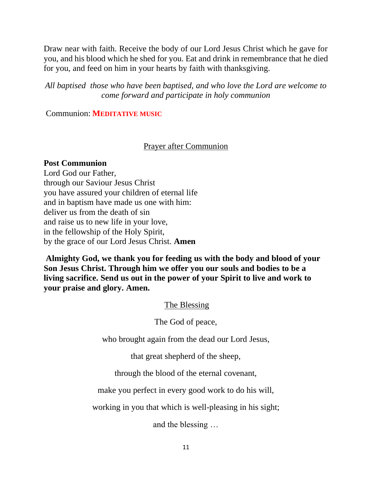Draw near with faith. Receive the body of our Lord Jesus Christ which he gave for you, and his blood which he shed for you. Eat and drink in remembrance that he died for you, and feed on him in your hearts by faith with thanksgiving.

*All baptised those who have been baptised, and who love the Lord are welcome to come forward and participate in holy communion*

Communion: **MEDITATIVE MUSIC**

# Prayer after Communion

## **Post Communion**

Lord God our Father, through our Saviour Jesus Christ you have assured your children of eternal life and in baptism have made us one with him: deliver us from the death of sin and raise us to new life in your love, in the fellowship of the Holy Spirit, by the grace of our Lord Jesus Christ. **Amen**

**Almighty God, we thank you for feeding us with the body and blood of your Son Jesus Christ. Through him we offer you our souls and bodies to be a living sacrifice. Send us out in the power of your Spirit to live and work to your praise and glory. Amen.**

The Blessing

The God of peace,

who brought again from the dead our Lord Jesus,

that great shepherd of the sheep,

through the blood of the eternal covenant,

make you perfect in every good work to do his will,

working in you that which is well-pleasing in his sight;

and the blessing …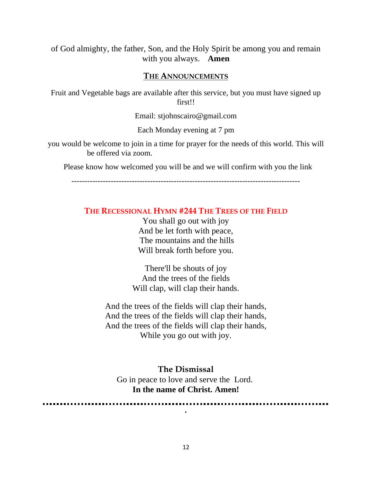of God almighty, the father, Son, and the Holy Spirit be among you and remain with you always. **Amen**

#### **THE ANNOUNCEMENTS**

Fruit and Vegetable bags are available after this service, but you must have signed up first!!

Email: stjohnscairo@gmail.com

Each Monday evening at 7 pm

you would be welcome to join in a time for prayer for the needs of this world. This will be offered via zoom.

Please know how welcomed you will be and we will confirm with you the link

---------------------------------------------------------------------------------------

#### **THE RECESSIONAL HYMN #244 THE TREES OF THE FIELD**

You shall go out with joy And be let forth with peace, The mountains and the hills Will break forth before you.

There'll be shouts of joy And the trees of the fields Will clap, will clap their hands.

And the trees of the fields will clap their hands, And the trees of the fields will clap their hands, And the trees of the fields will clap their hands, While you go out with joy.

#### **The Dismissal**

Go in peace to love and serve the Lord. **In the name of Christ. Amen!**

**.**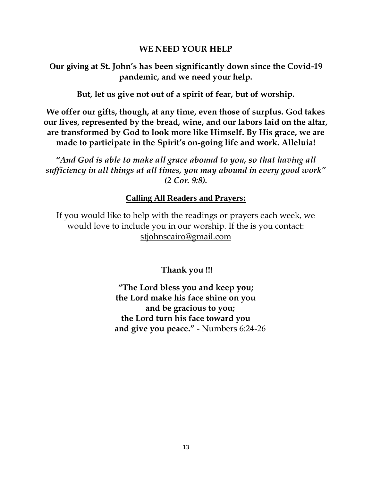# **WE NEED YOUR HELP**

**Our giving at St. John's has been significantly down since the Covid-19 pandemic, and we need your help.**

**But, let us give not out of a spirit of fear, but of worship.**

**We offer our gifts, though, at any time, even those of surplus. God takes our lives, represented by the bread, wine, and our labors laid on the altar, are transformed by God to look more like Himself. By His grace, we are made to participate in the Spirit's on-going life and work. Alleluia!**

*"And God is able to make all grace abound to you, so that having all sufficiency in all things at all times, you may abound in every good work" (2 Cor. 9:8).*

# **Calling All Readers and Prayers:**

If you would like to help with the readings or prayers each week, we would love to include you in our worship. If the is you contact: stjohnscairo@gmail.com

**Thank you !!!**

**"The Lord bless you and keep you; the Lord make his face shine on you and be gracious to you; the Lord turn his face toward you and give you peace."** - Numbers 6:24-26